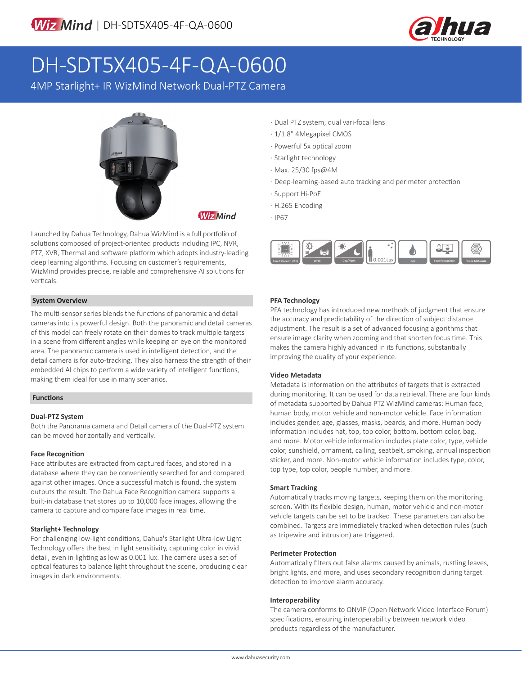

# DH-SDT5X405-4F-QA-0600

4MP Starlight+ IR WizMind Network Dual-PTZ Camera



**Wiz Mind** 

Launched by Dahua Technology, Dahua WizMind is a full portfolio of solutions composed of project-oriented products including IPC, NVR, PTZ, XVR, Thermal and software platform which adopts industry-leading deep learning algorithms. Focusing on customer's requirements, WizMind provides precise, reliable and comprehensive AI solutions for verticals.

# **System Overview**

The multi-sensor series blends the functions of panoramic and detail cameras into its powerful design. Both the panoramic and detail cameras of this model can freely rotate on their domes to track multiple targets in a scene from different angles while keeping an eye on the monitored area. The panoramic camera is used in intelligent detection, and the detail camera is for auto-tracking. They also harness the strength of their embedded AI chips to perform a wide variety of intelligent functions, making them ideal for use in many scenarios.

# **Functions**

# **Dual-PTZ System**

Both the Panorama camera and Detail camera of the Dual-PTZ system can be moved horizontally and vertically.

# **Face Recognition**

Face attributes are extracted from captured faces, and stored in a database where they can be conveniently searched for and compared against other images. Once a successful match is found, the system outputs the result. The Dahua Face Recognition camera supports a built-in database that stores up to 10,000 face images, allowing the camera to capture and compare face images in real time.

# **Starlight+ Technology**

For challenging low-light conditions, Dahua's Starlight Ultra-low Light Technology offers the best in light sensitivity, capturing color in vivid detail, even in lighting as low as 0.001 lux. The camera uses a set of optical features to balance light throughout the scene, producing clear images in dark environments.

- · Dual PTZ system, dual vari-focal lens
- · 1/1.8" 4Megapixel CMOS
- · Powerful 5x optical zoom
- · Starlight technology
- · Max. 25/30 fps@4M
- · Deep-learning-based auto tracking and perimeter protection
- · Support Hi-PoE
- · H.265 Encoding
- · IP67



# **PFA Technology**

PFA technology has introduced new methods of judgment that ensure the accuracy and predictability of the direction of subject distance adjustment. The result is a set of advanced focusing algorithms that ensure image clarity when zooming and that shorten focus time. This makes the camera highly advanced in its functions, substantially improving the quality of your experience.

#### **Video Metadata**

Metadata is information on the attributes of targets that is extracted during monitoring. It can be used for data retrieval. There are four kinds of metadata supported by Dahua PTZ WizMind cameras: Human face, human body, motor vehicle and non-motor vehicle. Face information includes gender, age, glasses, masks, beards, and more. Human body information includes hat, top, top color, bottom, bottom color, bag, and more. Motor vehicle information includes plate color, type, vehicle color, sunshield, ornament, calling, seatbelt, smoking, annual inspection sticker, and more. Non-motor vehicle information includes type, color, top type, top color, people number, and more.

#### **Smart Tracking**

Automatically tracks moving targets, keeping them on the monitoring screen. With its flexible design, human, motor vehicle and non-motor vehicle targets can be set to be tracked. These parameters can also be combined. Targets are immediately tracked when detection rules (such as tripewire and intrusion) are triggered.

#### **Perimeter Protection**

Automatically filters out false alarms caused by animals, rustling leaves, bright lights, and more, and uses secondary recognition during target detection to improve alarm accuracy.

#### **Interoperability**

The camera conforms to ONVIF (Open Network Video Interface Forum) specifications, ensuring interoperability between network video products regardless of the manufacturer.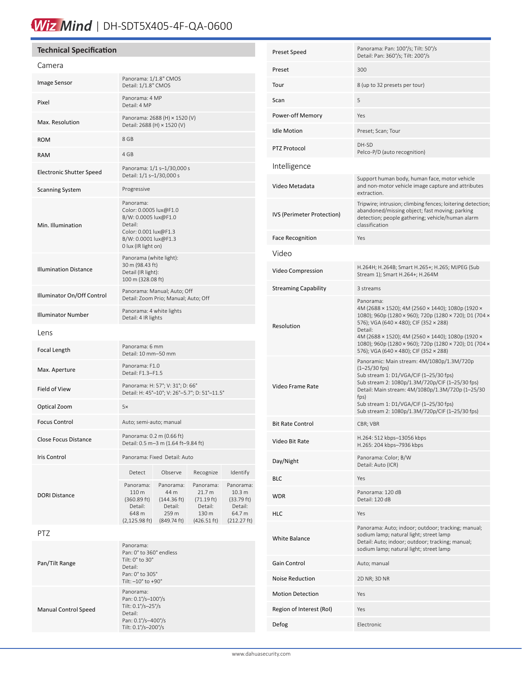# Wiz Mind | DH-SDT5X405-4F-QA-0600

#### **Technical Specification** Camera Image Sensor Panorama: 1/1.8" CMOS Detail: 1/1.8" CMOS Pixel Panorama: 4 MP Detail: 4 MP Max. Resolution Panorama: 2688 (H)  $\times$  1520 (V)<br>
Patail, 2688 (H) × 1520 (V) Detail: 2688 (H) × 1520 (V) ROM 8 GB RAM 4 GB Electronic Shutter Speed<br>
Panorama:  $1/1$  s– $1/30,000$  s<br>
Detail:  $1/1$  s– $1/30,000$  s Detail: 1/1 s–1/30,000 s Scanning System Progressive Min. Illumination Panorama: Color: 0.0005 lux@F1.0 B/W: 0.0005 lux@F1.0 Detail: Color: 0.001 lux@F1.3 B/W: 0.0001 lux@F1.3 0 lux (IR light on) Illumination Distance Panorama (white light): 30 m (98.43 ft) Detail (IR light): 100 m (328.08 ft) Panorama: Manual; Auto; Off<br>
Detail: Zoom Prio: Manual: Auto Detail: Zoom Prio; Manual; Auto; Off **Illuminator Number** Panorama: 4 white lights Detail: 4 IR lights Lens Focal Length Panorama: 6 mm Detail: 10 mm–50 mm Max. Aperture Panorama: F1.0 Detail: F1.3–F1.5 Field of View Panorama: H: 57°; V: 31°; D: 66°<br>Panorama: H: 57°; V: 31°; D: 66° Detail: H: 45°–10°; V: 26°–5.7°; D: 51°–11.5° Optical Zoom 5× Focus Control **Auto**; semi-auto; manual Close Focus Distance Panorama: 0.2 m (0.66 ft) Detail: 0.5 m–3 m (1.64 ft–9.84 ft) Iris Control Panorama: Fixed Detail: Auto DORI Distance Detect Observe Recognize Identify Panorama: 110 m (360.89 ft) Detail: 648 m (2,125.98 ft) (849.74 ft) Panorama: 44 m (144.36 ft) Detail: 259 m Panorama: 21.7 m (71.19 ft) Detail: 130 m (426.51 ft) Panorama: 10.3 m (33.79 ft) Detail: 64.7 m (212.27 ft) PTZ Pan/Tilt Range Panorama: Pan: 0° to 360° endless Tilt: 0° to 30° Detail: Pan: 0° to 305° Tilt: –10° to +90° Manual Control Speed Panorama: Pan: 0.1°/s–100°/s Tilt: 0.1°/s–25°/s Detail:

Pan: 0.1°/s–400°/s Tilt: 0.1°/s–200°/s

| Preset Speed                | Panorama: Pan: 100°/s; Tilt: 50°/s<br>Detail: Pan: 360°/s; Tilt: 200°/s                                                                                                                                                                                                                                                                |  |  |  |
|-----------------------------|----------------------------------------------------------------------------------------------------------------------------------------------------------------------------------------------------------------------------------------------------------------------------------------------------------------------------------------|--|--|--|
| Preset                      | 300                                                                                                                                                                                                                                                                                                                                    |  |  |  |
| Tour                        | 8 (up to 32 presets per tour)                                                                                                                                                                                                                                                                                                          |  |  |  |
| Scan                        | 5                                                                                                                                                                                                                                                                                                                                      |  |  |  |
| Power-off Memory            | Yes                                                                                                                                                                                                                                                                                                                                    |  |  |  |
| <b>Idle Motion</b>          | Preset; Scan; Tour                                                                                                                                                                                                                                                                                                                     |  |  |  |
| <b>PTZ Protocol</b>         | DH-SD<br>Pelco-P/D (auto recognition)                                                                                                                                                                                                                                                                                                  |  |  |  |
| Intelligence                |                                                                                                                                                                                                                                                                                                                                        |  |  |  |
| Video Metadata              | Support human body, human face, motor vehicle<br>and non-motor vehicle image capture and attributes<br>extraction.                                                                                                                                                                                                                     |  |  |  |
| IVS (Perimeter Protection)  | Tripwire; intrusion; climbing fences; loitering detection;<br>abandoned/missing object; fast moving; parking<br>detection; people gathering; vehicle/human alarm<br>classification                                                                                                                                                     |  |  |  |
| <b>Face Recognition</b>     | Yes                                                                                                                                                                                                                                                                                                                                    |  |  |  |
| Video                       |                                                                                                                                                                                                                                                                                                                                        |  |  |  |
| Video Compression           | H.264H; H.264B; Smart H.265+; H.265; MJPEG (Sub<br>Stream 1); Smart H.264+; H.264M                                                                                                                                                                                                                                                     |  |  |  |
| <b>Streaming Capability</b> | 3 streams                                                                                                                                                                                                                                                                                                                              |  |  |  |
| Resolution                  | Panorama:<br>4M (2688 × 1520); 4M (2560 × 1440); 1080p (1920 ×<br>1080); 960p (1280 × 960); 720p (1280 × 720); D1 (704 ×<br>576); VGA (640 × 480); CIF (352 × 288)<br>Detail:<br>4M (2688 × 1520); 4M (2560 × 1440); 1080p (1920 ×<br>1080); 960p (1280 × 960); 720p (1280 × 720); D1 (704 ×<br>576); VGA (640 × 480); CIF (352 × 288) |  |  |  |
| Video Frame Rate            | Panoramic: Main stream: 4M/1080p/1.3M/720p<br>$(1 - 25/30$ fps)<br>Sub stream 1: D1/VGA/CIF (1-25/30 fps)<br>Sub stream 2: 1080p/1.3M/720p/CIF (1-25/30 fps)<br>Detail: Main stream: 4M/1080p/1.3M/720p (1-25/30<br>fps)<br>Sub stream 1: D1/VGA/CIF (1-25/30 fps)<br>Sub stream 2: 1080p/1.3M/720p/CIF (1-25/30 fps)                  |  |  |  |
| <b>Bit Rate Control</b>     | CBR; VBR                                                                                                                                                                                                                                                                                                                               |  |  |  |
| Video Bit Rate              | H.264: 512 kbps-13056 kbps<br>H.265: 204 kbps-7936 kbps                                                                                                                                                                                                                                                                                |  |  |  |
| Day/Night                   | Panorama: Color; B/W<br>Detail: Auto (ICR)                                                                                                                                                                                                                                                                                             |  |  |  |
| <b>BLC</b>                  | Yes                                                                                                                                                                                                                                                                                                                                    |  |  |  |
| <b>WDR</b>                  | Panorama: 120 dB<br>Detail: 120 dB                                                                                                                                                                                                                                                                                                     |  |  |  |
| HLC                         | Yes                                                                                                                                                                                                                                                                                                                                    |  |  |  |
| <b>White Balance</b>        | Panorama: Auto; indoor; outdoor; tracking; manual;<br>sodium lamp; natural light; street lamp<br>Detail: Auto; indoor; outdoor; tracking; manual;<br>sodium lamp; natural light; street lamp                                                                                                                                           |  |  |  |
| Gain Control                | Auto; manual                                                                                                                                                                                                                                                                                                                           |  |  |  |
| Noise Reduction             | 2D NR; 3D NR                                                                                                                                                                                                                                                                                                                           |  |  |  |
| <b>Motion Detection</b>     | Yes                                                                                                                                                                                                                                                                                                                                    |  |  |  |
| Region of Interest (RoI)    | Yes                                                                                                                                                                                                                                                                                                                                    |  |  |  |
| Defog                       | Electronic                                                                                                                                                                                                                                                                                                                             |  |  |  |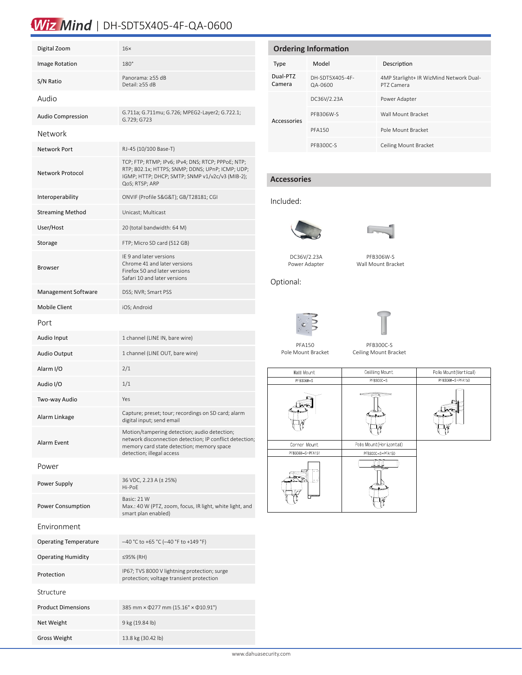# Wiz Mind | DH-SDT5X405-4F-QA-0600

| Digital Zoom                 | 16x                                                                                                                                                                               |  |  |  |
|------------------------------|-----------------------------------------------------------------------------------------------------------------------------------------------------------------------------------|--|--|--|
| Image Rotation               | 180°                                                                                                                                                                              |  |  |  |
| S/N Ratio                    | Panorama: ≥55 dB<br>Detail: ≥55 dB                                                                                                                                                |  |  |  |
| Audio                        |                                                                                                                                                                                   |  |  |  |
| <b>Audio Compression</b>     | G.711a; G.711mu; G.726; MPEG2-Layer2; G.722.1;<br>G.729; G723                                                                                                                     |  |  |  |
| Network                      |                                                                                                                                                                                   |  |  |  |
| Network Port                 | RJ-45 (10/100 Base-T)                                                                                                                                                             |  |  |  |
| Network Protocol             | TCP; FTP; RTMP; IPv6; IPv4; DNS; RTCP; PPPoE; NTP;<br>RTP; 802.1x; HTTPS; SNMP; DDNS; UPnP; ICMP; UDP;<br>IGMP; HTTP; DHCP; SMTP; SNMP v1/v2c/v3 (MIB-2);<br>QoS; RTSP; ARP       |  |  |  |
| Interoperability             | ONVIF (Profile S&G&T); GB/T28181; CGI                                                                                                                                             |  |  |  |
| <b>Streaming Method</b>      | Unicast; Multicast                                                                                                                                                                |  |  |  |
| User/Host                    | 20 (total bandwidth: 64 M)                                                                                                                                                        |  |  |  |
| Storage                      | FTP; Micro SD card (512 GB)                                                                                                                                                       |  |  |  |
| <b>Browser</b>               | IE 9 and later versions<br>Chrome 41 and later versions<br>Firefox 50 and later versions<br>Safari 10 and later versions                                                          |  |  |  |
| Management Software          | DSS; NVR; Smart PSS                                                                                                                                                               |  |  |  |
| <b>Mobile Client</b>         | iOS; Android                                                                                                                                                                      |  |  |  |
| Port                         |                                                                                                                                                                                   |  |  |  |
| Audio Input                  | 1 channel (LINE IN, bare wire)                                                                                                                                                    |  |  |  |
| <b>Audio Output</b>          | 1 channel (LINE OUT, bare wire)                                                                                                                                                   |  |  |  |
| Alarm I/O                    | 2/1                                                                                                                                                                               |  |  |  |
| Audio I/O                    | 1/1                                                                                                                                                                               |  |  |  |
| Two-way Audio                | Yes                                                                                                                                                                               |  |  |  |
| Alarm Linkage                | Capture; preset; tour; recordings on SD card; alarm<br>digital input; send email                                                                                                  |  |  |  |
| Alarm Event                  | Motion/tampering detection; audio detection;<br>network disconnection detection; IP conflict detection;<br>memory card state detection; memory space<br>detection; illegal access |  |  |  |
| Power                        |                                                                                                                                                                                   |  |  |  |
| Power Supply                 | 36 VDC, 2.23 A (± 25%)<br>Hi-PoE                                                                                                                                                  |  |  |  |
| <b>Power Consumption</b>     | Basic: 21 W<br>Max.: 40 W (PTZ, zoom, focus, IR light, white light, and<br>smart plan enabled)                                                                                    |  |  |  |
| Environment                  |                                                                                                                                                                                   |  |  |  |
| <b>Operating Temperature</b> | $-40$ °C to +65 °C (-40 °F to +149 °F)                                                                                                                                            |  |  |  |
| <b>Operating Humidity</b>    | ≤95% (RH)                                                                                                                                                                         |  |  |  |
| Protection                   | IP67; TVS 8000 V lightning protection; surge<br>protection; voltage transient protection                                                                                          |  |  |  |
| Structure                    |                                                                                                                                                                                   |  |  |  |
| <b>Product Dimensions</b>    | 385 mm × $\Phi$ 277 mm (15.16" × $\Phi$ 10.91")                                                                                                                                   |  |  |  |
| Net Weight                   | 9 kg (19.84 lb)                                                                                                                                                                   |  |  |  |

Gross Weight 13.8 kg (30.42 lb)

ĺ

| <b>Ordering Information</b> |                            |                                                       |  |  |  |
|-----------------------------|----------------------------|-------------------------------------------------------|--|--|--|
| Type                        | Model                      | Description                                           |  |  |  |
| Dual-PTZ<br>Camera          | DH-SDT5X405-4F-<br>QA-0600 | 4MP Starlight+ IR WizMind Network Dual-<br>PT7 Camera |  |  |  |
| Accessories                 | DC36V/2.23A                | Power Adapter                                         |  |  |  |
|                             | PFB306W-S                  | Wall Mount Bracket                                    |  |  |  |
|                             | <b>PFA150</b>              | Pole Mount Bracket                                    |  |  |  |
|                             | PFB300C-S                  | Ceiling Mount Bracket                                 |  |  |  |

# **Accessories**

# Included:



DC36V/2.23A Power Adapter



| PFB306W-S          |  |
|--------------------|--|
| Wall Mount Bracket |  |

Optional:





PFA150 Pole Mount Bracket

PFB300C-S Ceiling Mount Bracket